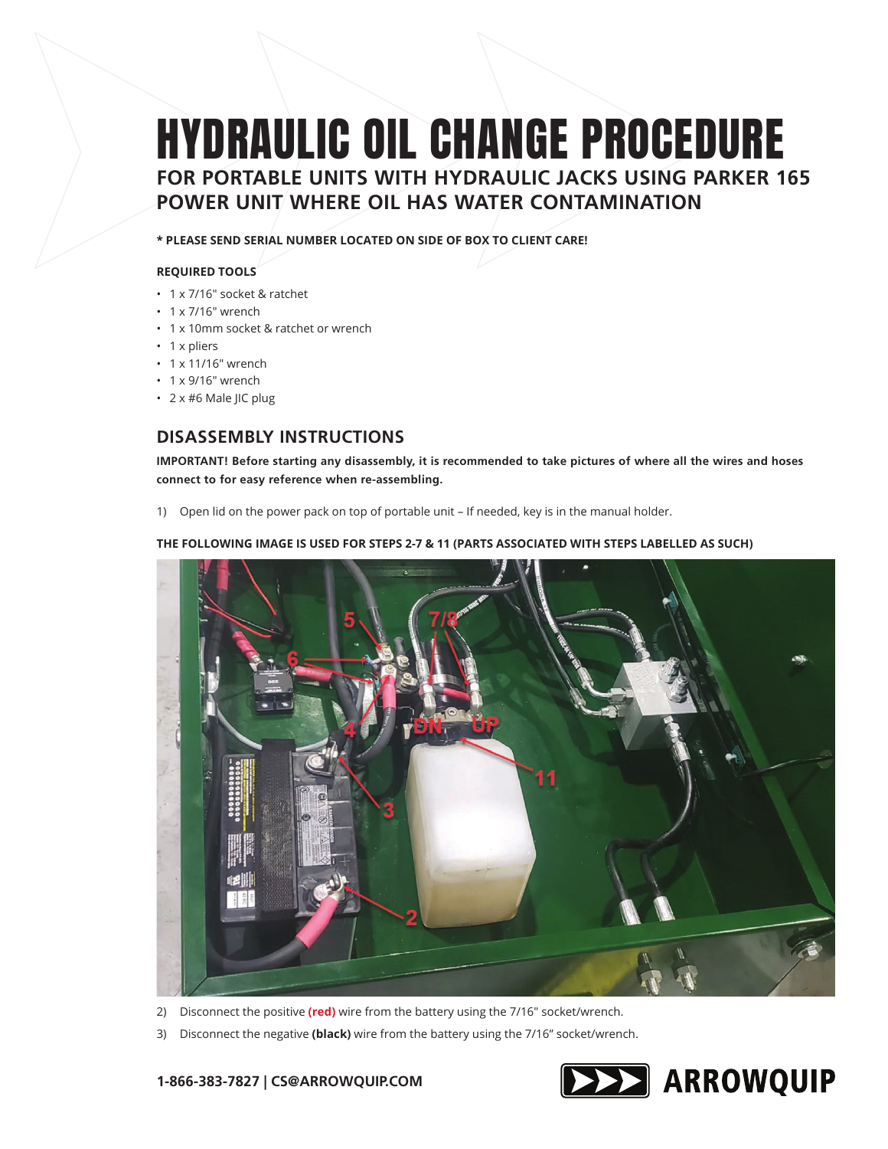# HYDRAULIC OIL CHANGE PROCEDURE **FOR PORTABLE UNITS WITH HYDRAULIC JACKS USING PARKER 165 POWER UNIT WHERE OIL HAS WATER CONTAMINATION**

**\* PLEASE SEND SERIAL NUMBER LOCATED ON SIDE OF BOX TO CLIENT CARE!** 

## **REQUIRED TOOLS**

- 1 x 7/16" socket & ratchet
- 1 x 7/16" wrench
- 1 x 10mm socket & ratchet or wrench
- 1 x pliers
- 1 x 11/16" wrench
- 1 x 9/16" wrench
- 2 x #6 Male JIC plug

# **DISASSEMBLY INSTRUCTIONS**

**IMPORTANT! Before starting any disassembly, it is recommended to take pictures of where all the wires and hoses connect to for easy reference when re-assembling.**

1) Open lid on the power pack on top of portable unit – If needed, key is in the manual holder.

## **THE FOLLOWING IMAGE IS USED FOR STEPS 2-7 & 11 (PARTS ASSOCIATED WITH STEPS LABELLED AS SUCH)**



2) Disconnect the positive **(red)** wire from the battery using the 7/16" socket/wrench.

3) Disconnect the negative **(black)** wire from the battery using the 7/16" socket/wrench.

## **1-866-383-7827 | CS@ARROWQUIP.COM**

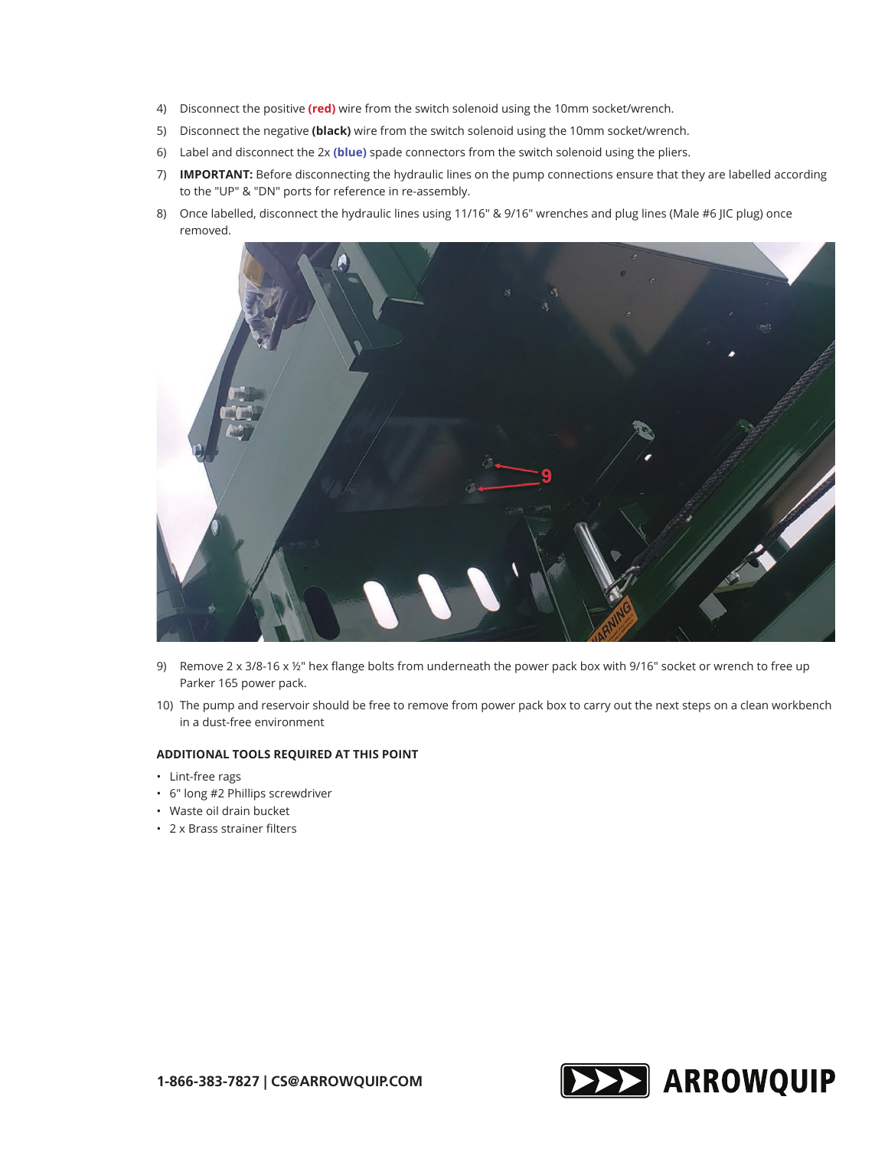- 4) Disconnect the positive **(red)** wire from the switch solenoid using the 10mm socket/wrench.
- 5) Disconnect the negative **(black)** wire from the switch solenoid using the 10mm socket/wrench.
- 6) Label and disconnect the 2x **(blue)** spade connectors from the switch solenoid using the pliers.
- 7) **IMPORTANT:** Before disconnecting the hydraulic lines on the pump connections ensure that they are labelled according to the "UP" & "DN" ports for reference in re-assembly.
- 8) Once labelled, disconnect the hydraulic lines using 11/16" & 9/16" wrenches and plug lines (Male #6 JIC plug) once removed.



- 9) Remove 2 x 3/8-16 x  $\frac{1}{2}$ " hex flange bolts from underneath the power pack box with 9/16" socket or wrench to free up Parker 165 power pack.
- 10) The pump and reservoir should be free to remove from power pack box to carry out the next steps on a clean workbench in a dust-free environment

### **ADDITIONAL TOOLS REQUIRED AT THIS POINT**

- Lint-free rags
- 6" long #2 Phillips screwdriver
- Waste oil drain bucket
- 2 x Brass strainer filters

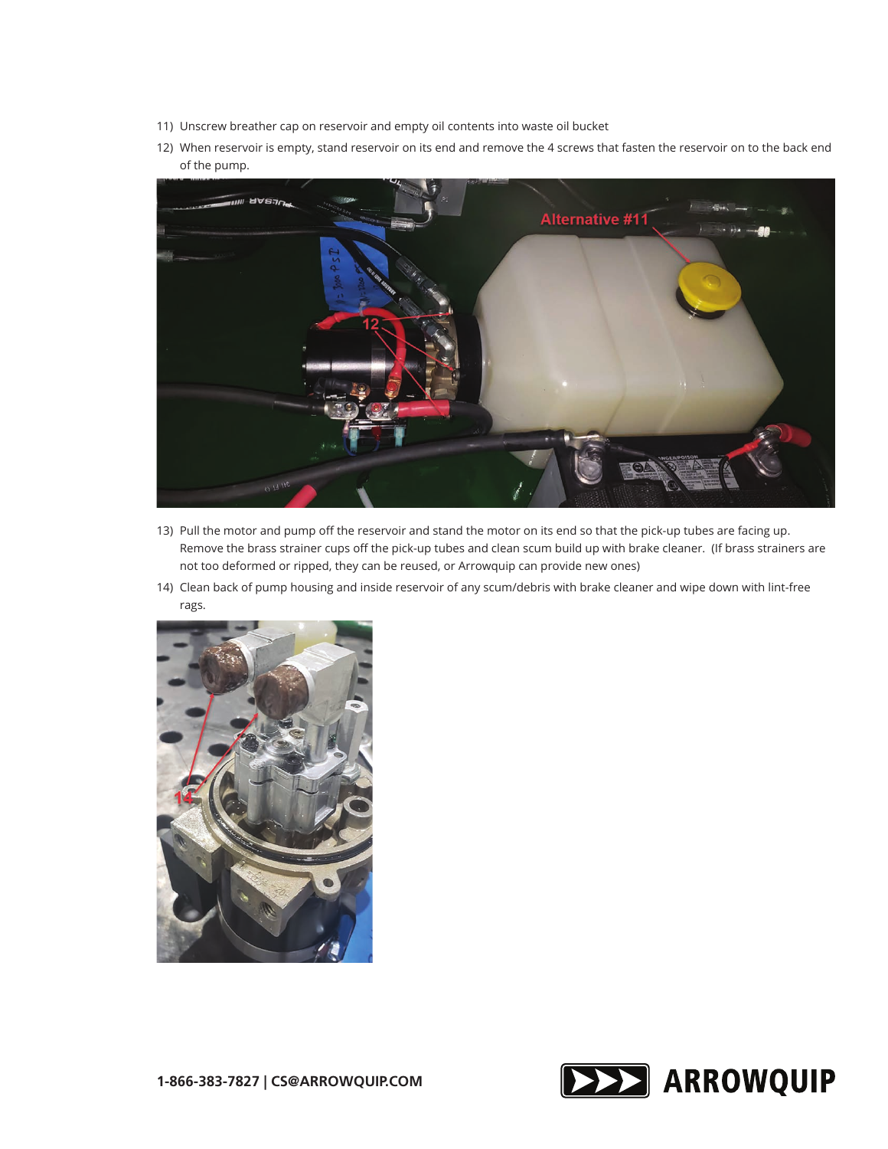- 11) Unscrew breather cap on reservoir and empty oil contents into waste oil bucket
- 12) When reservoir is empty, stand reservoir on its end and remove the 4 screws that fasten the reservoir on to the back end of the pump.



- 13) Pull the motor and pump off the reservoir and stand the motor on its end so that the pick-up tubes are facing up. Remove the brass strainer cups off the pick-up tubes and clean scum build up with brake cleaner. (If brass strainers are not too deformed or ripped, they can be reused, or Arrowquip can provide new ones)
- 14) Clean back of pump housing and inside reservoir of any scum/debris with brake cleaner and wipe down with lint-free rags.